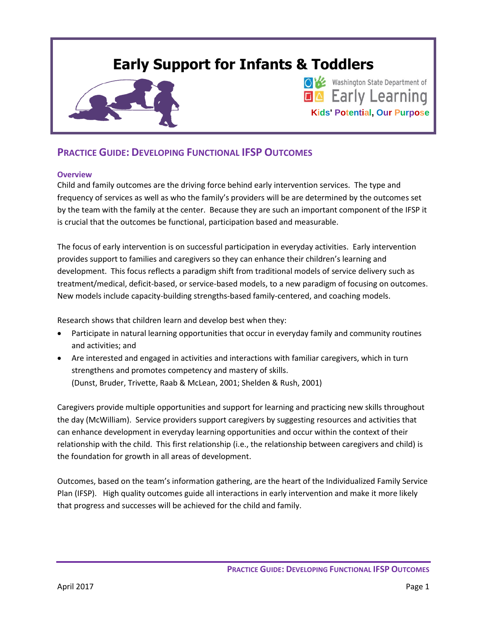# **Early Support for Infants & Toddlers**



# **OB** Washington State Department of **EA** Early Learning **Kids' Potential, Our Purpose**

# **PRACTICE GUIDE: DEVELOPING FUNCTIONAL IFSP OUTCOMES**

# **Overview**

Child and family outcomes are the driving force behind early intervention services. The type and frequency of services as well as who the family's providers will be are determined by the outcomes set by the team with the family at the center. Because they are such an important component of the IFSP it is crucial that the outcomes be functional, participation based and measurable.

The focus of early intervention is on successful participation in everyday activities. Early intervention provides support to families and caregivers so they can enhance their children's learning and development. This focus reflects a paradigm shift from traditional models of service delivery such as treatment/medical, deficit-based, or service-based models, to a new paradigm of focusing on outcomes. New models include capacity-building strengths-based family-centered, and coaching models.

Research shows that children learn and develop best when they:

- Participate in natural learning opportunities that occur in everyday family and community routines and activities; and
- Are interested and engaged in activities and interactions with familiar caregivers, which in turn strengthens and promotes competency and mastery of skills. (Dunst, Bruder, Trivette, Raab & McLean, 2001; Shelden & Rush, 2001)

Caregivers provide multiple opportunities and support for learning and practicing new skills throughout the day (McWilliam). Service providers support caregivers by suggesting resources and activities that can enhance development in everyday learning opportunities and occur within the context of their relationship with the child. This first relationship (i.e., the relationship between caregivers and child) is the foundation for growth in all areas of development.

Outcomes, based on the team's information gathering, are the heart of the Individualized Family Service Plan (IFSP). High quality outcomes guide all interactions in early intervention and make it more likely that progress and successes will be achieved for the child and family.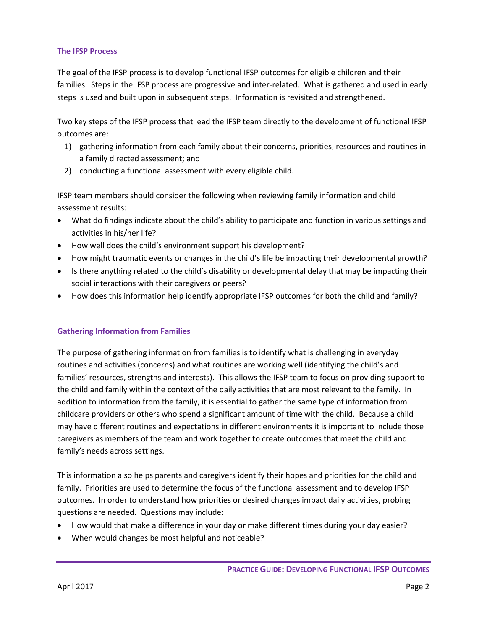#### **The IFSP Process**

The goal of the IFSP process is to develop functional IFSP outcomes for eligible children and their families. Steps in the IFSP process are progressive and inter-related. What is gathered and used in early steps is used and built upon in subsequent steps. Information is revisited and strengthened.

Two key steps of the IFSP process that lead the IFSP team directly to the development of functional IFSP outcomes are:

- 1) gathering information from each family about their concerns, priorities, resources and routines in a family directed assessment; and
- 2) conducting a functional assessment with every eligible child.

IFSP team members should consider the following when reviewing family information and child assessment results:

- What do findings indicate about the child's ability to participate and function in various settings and activities in his/her life?
- How well does the child's environment support his development?
- How might traumatic events or changes in the child's life be impacting their developmental growth?
- Is there anything related to the child's disability or developmental delay that may be impacting their social interactions with their caregivers or peers?
- How does this information help identify appropriate IFSP outcomes for both the child and family?

# **Gathering Information from Families**

The purpose of gathering information from families is to identify what is challenging in everyday routines and activities (concerns) and what routines are working well (identifying the child's and families' resources, strengths and interests). This allows the IFSP team to focus on providing support to the child and family within the context of the daily activities that are most relevant to the family. In addition to information from the family, it is essential to gather the same type of information from childcare providers or others who spend a significant amount of time with the child. Because a child may have different routines and expectations in different environments it is important to include those caregivers as members of the team and work together to create outcomes that meet the child and family's needs across settings.

This information also helps parents and caregivers identify their hopes and priorities for the child and family. Priorities are used to determine the focus of the functional assessment and to develop IFSP outcomes. In order to understand how priorities or desired changes impact daily activities, probing questions are needed. Questions may include:

- How would that make a difference in your day or make different times during your day easier?
- When would changes be most helpful and noticeable?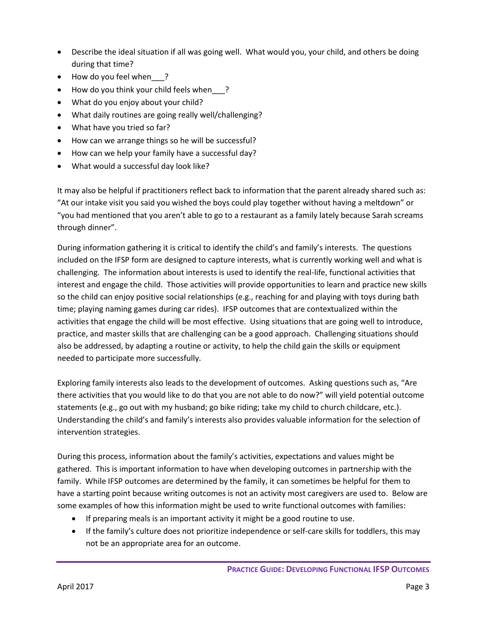- Describe the ideal situation if all was going well. What would you, your child, and others be doing during that time?
- How do you feel when ?
- How do you think your child feels when ?
- What do you enjoy about your child?
- What daily routines are going really well/challenging?
- What have you tried so far?
- How can we arrange things so he will be successful?
- How can we help your family have a successful day?
- What would a successful day look like?

It may also be helpful if practitioners reflect back to information that the parent already shared such as: "At our intake visit you said you wished the boys could play together without having a meltdown" or "you had mentioned that you aren't able to go to a restaurant as a family lately because Sarah screams through dinner".

During information gathering it is critical to identify the child's and family's interests. The questions included on the IFSP form are designed to capture interests, what is currently working well and what is challenging. The information about interests is used to identify the real-life, functional activities that interest and engage the child. Those activities will provide opportunities to learn and practice new skills so the child can enjoy positive social relationships (e.g., reaching for and playing with toys during bath time; playing naming games during car rides). IFSP outcomes that are contextualized within the activities that engage the child will be most effective. Using situations that are going well to introduce, practice, and master skills that are challenging can be a good approach. Challenging situations should also be addressed, by adapting a routine or activity, to help the child gain the skills or equipment needed to participate more successfully.

Exploring family interests also leads to the development of outcomes. Asking questions such as, "Are there activities that you would like to do that you are not able to do now?" will yield potential outcome statements (e.g., go out with my husband; go bike riding; take my child to church childcare, etc.). Understanding the child's and family's interests also provides valuable information for the selection of intervention strategies.

During this process, information about the family's activities, expectations and values might be gathered. This is important information to have when developing outcomes in partnership with the family. While IFSP outcomes are determined by the family, it can sometimes be helpful for them to have a starting point because writing outcomes is not an activity most caregivers are used to. Below are some examples of how this information might be used to write functional outcomes with families:

- If preparing meals is an important activity it might be a good routine to use.
- If the family's culture does not prioritize independence or self-care skills for toddlers, this may not be an appropriate area for an outcome.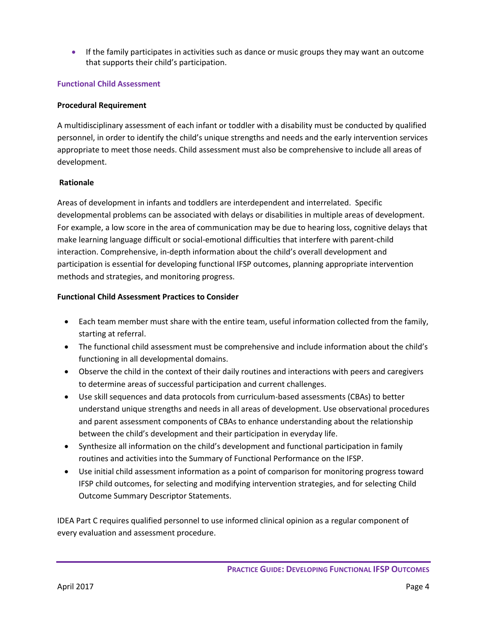If the family participates in activities such as dance or music groups they may want an outcome that supports their child's participation.

# **Functional Child Assessment**

# **Procedural Requirement**

A multidisciplinary assessment of each infant or toddler with a disability must be conducted by qualified personnel, in order to identify the child's unique strengths and needs and the early intervention services appropriate to meet those needs. Child assessment must also be comprehensive to include all areas of development.

# **Rationale**

Areas of development in infants and toddlers are interdependent and interrelated. Specific developmental problems can be associated with delays or disabilities in multiple areas of development. For example, a low score in the area of communication may be due to hearing loss, cognitive delays that make learning language difficult or social-emotional difficulties that interfere with parent-child interaction. Comprehensive, in-depth information about the child's overall development and participation is essential for developing functional IFSP outcomes, planning appropriate intervention methods and strategies, and monitoring progress.

# **Functional Child Assessment Practices to Consider**

- Each team member must share with the entire team, useful information collected from the family, starting at referral.
- The functional child assessment must be comprehensive and include information about the child's functioning in all developmental domains.
- Observe the child in the context of their daily routines and interactions with peers and caregivers to determine areas of successful participation and current challenges.
- Use skill sequences and data protocols from curriculum-based assessments (CBAs) to better understand unique strengths and needs in all areas of development. Use observational procedures and parent assessment components of CBAs to enhance understanding about the relationship between the child's development and their participation in everyday life.
- Synthesize all information on the child's development and functional participation in family routines and activities into the Summary of Functional Performance on the IFSP.
- Use initial child assessment information as a point of comparison for monitoring progress toward IFSP child outcomes, for selecting and modifying intervention strategies, and for selecting Child Outcome Summary Descriptor Statements.

IDEA Part C requires qualified personnel to use informed clinical opinion as a regular component of every evaluation and assessment procedure.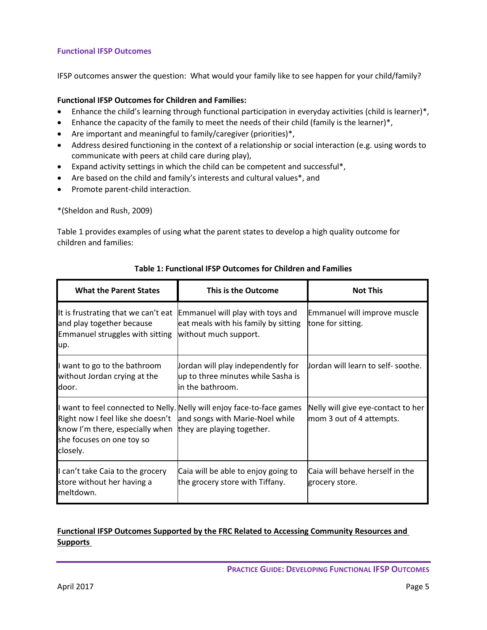# **Functional IFSP Outcomes**

IFSP outcomes answer the question: What would your family like to see happen for your child/family?

# **Functional IFSP Outcomes for Children and Families:**

- Enhance the child's learning through functional participation in everyday activities (child is learner)\*,
- Enhance the capacity of the family to meet the needs of their child (family is the learner)\*,
- Are important and meaningful to family/caregiver (priorities)\*,
- Address desired functioning in the context of a relationship or social interaction (e.g. using words to communicate with peers at child care during play),
- Expand activity settings in which the child can be competent and successful\*,
- Are based on the child and family's interests and cultural values\*, and
- Promote parent-child interaction.

\*(Sheldon and Rush, 2009)

Table 1 provides examples of using what the parent states to develop a high quality outcome for children and families:

| <b>What the Parent States</b>                                                                                                                                            | This is the Outcome                                                                               | <b>Not This</b>                                                |  |  |
|--------------------------------------------------------------------------------------------------------------------------------------------------------------------------|---------------------------------------------------------------------------------------------------|----------------------------------------------------------------|--|--|
| It is frustrating that we can't eat<br>and play together because<br>Emmanuel struggles with sitting<br>up.                                                               | Emmanuel will play with toys and<br>eat meals with his family by sitting<br>without much support. | Emmanuel will improve muscle<br>tone for sitting.              |  |  |
| I want to go to the bathroom<br>without Jordan crying at the<br>door.                                                                                                    | Jordan will play independently for<br>up to three minutes while Sasha is<br>lin the bathroom.     | Jordan will learn to self-soothe.                              |  |  |
| Right now I feel like she doesn't and songs with Marie-Noel while<br>know I'm there, especially when they are playing together.<br>she focuses on one toy so<br>closely. | I want to feel connected to Nelly. Nelly will enjoy face-to-face games                            | Nelly will give eye-contact to her<br>mom 3 out of 4 attempts. |  |  |
| I can't take Caia to the grocery<br>store without her having a<br>meltdown.                                                                                              | Caia will be able to enjoy going to<br>the grocery store with Tiffany.                            | Caia will behave herself in the<br>grocery store.              |  |  |

# **Table 1: Functional IFSP Outcomes for Children and Families**

# **Functional IFSP Outcomes Supported by the FRC Related to Accessing Community Resources and Supports**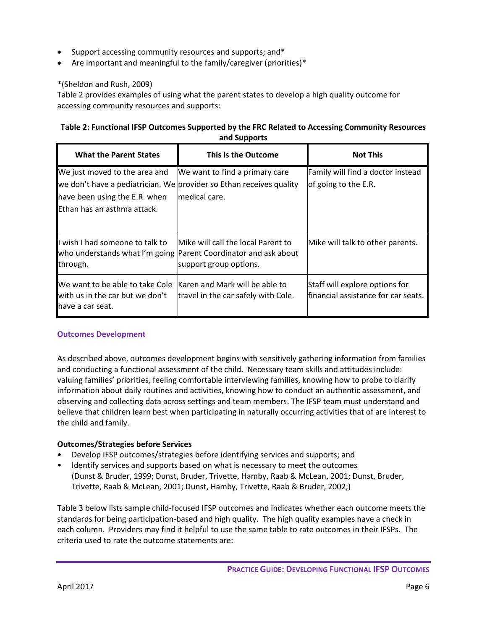- Support accessing community resources and supports; and\*
- Are important and meaningful to the family/caregiver (priorities)\*

# \*(Sheldon and Rush, 2009)

Table 2 provides examples of using what the parent states to develop a high quality outcome for accessing community resources and supports:

# **Table 2: Functional IFSP Outcomes Supported by the FRC Related to Accessing Community Resources and Supports**

| <b>What the Parent States</b>                                                                 | This is the Outcome                                                                                                             | <b>Not This</b>                                                       |  |  |
|-----------------------------------------------------------------------------------------------|---------------------------------------------------------------------------------------------------------------------------------|-----------------------------------------------------------------------|--|--|
| We just moved to the area and<br>have been using the E.R. when<br>Ethan has an asthma attack. | We want to find a primary care<br>we don't have a pediatrician. We provider so Ethan receives quality<br>medical care.          | Family will find a doctor instead<br>of going to the E.R.             |  |  |
| I wish I had someone to talk to<br>through.                                                   | Mike will call the local Parent to<br>who understands what I'm going Parent Coordinator and ask about<br>support group options. | Mike will talk to other parents.                                      |  |  |
| We want to be able to take Cole<br>with us in the car but we don't<br>lhave a car seat.       | Karen and Mark will be able to<br>travel in the car safely with Cole.                                                           | Staff will explore options for<br>financial assistance for car seats. |  |  |

# **Outcomes Development**

As described above, outcomes development begins with sensitively gathering information from families and conducting a functional assessment of the child. Necessary team skills and attitudes include: valuing families' priorities, feeling comfortable interviewing families, knowing how to probe to clarify information about daily routines and activities, knowing how to conduct an authentic assessment, and observing and collecting data across settings and team members. The IFSP team must understand and believe that children learn best when participating in naturally occurring activities that of are interest to the child and family.

# **Outcomes/Strategies before Services**

- Develop IFSP outcomes/strategies before identifying services and supports; and
- Identify services and supports based on what is necessary to meet the outcomes (Dunst & Bruder, 1999; Dunst, Bruder, Trivette, Hamby, Raab & McLean, 2001; Dunst, Bruder, Trivette, Raab & McLean, 2001; Dunst, Hamby, Trivette, Raab & Bruder, 2002;)

Table 3 below lists sample child-focused IFSP outcomes and indicates whether each outcome meets the standards for being participation-based and high quality. The high quality examples have a check in each column. Providers may find it helpful to use the same table to rate outcomes in their IFSPs. The criteria used to rate the outcome statements are: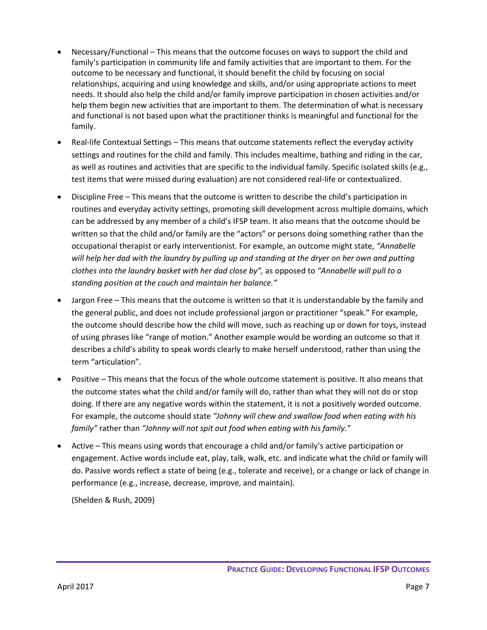- Necessary/Functional This means that the outcome focuses on ways to support the child and family's participation in community life and family activities that are important to them. For the outcome to be necessary and functional, it should benefit the child by focusing on social relationships, acquiring and using knowledge and skills, and/or using appropriate actions to meet needs. It should also help the child and/or family improve participation in chosen activities and/or help them begin new activities that are important to them. The determination of what is necessary and functional is not based upon what the practitioner thinks is meaningful and functional for the family.
- Real-life Contextual Settings This means that outcome statements reflect the everyday activity settings and routines for the child and family. This includes mealtime, bathing and riding in the car, as well as routines and activities that are specific to the individual family. Specific isolated skills (e.g., test items that were missed during evaluation) are not considered real-life or contextualized.
- Discipline Free This means that the outcome is written to describe the child's participation in routines and everyday activity settings, promoting skill development across multiple domains, which can be addressed by any member of a child's IFSP team. It also means that the outcome should be written so that the child and/or family are the "actors" or persons doing something rather than the occupational therapist or early interventionist. For example, an outcome might state, *"Annabelle will help her dad with the laundry by pulling up and standing at the dryer on her own and putting clothes into the laundry basket with her dad close by",* as opposed to *"Annabelle will pull to a standing position at the couch and maintain her balance."*
- Jargon Free This means that the outcome is written so that it is understandable by the family and the general public, and does not include professional jargon or practitioner "speak." For example, the outcome should describe how the child will move, such as reaching up or down for toys, instead of using phrases like "range of motion." Another example would be wording an outcome so that it describes a child's ability to speak words clearly to make herself understood, rather than using the term "articulation".
- Positive This means that the focus of the whole outcome statement is positive. It also means that the outcome states what the child and/or family will do, rather than what they will not do or stop doing. If there are any negative words within the statement, it is not a positively worded outcome. For example, the outcome should state *"Johnny will chew and swallow food when eating with his family"* rather than *"Johnny will not spit out food when eating with his family."*
- Active This means using words that encourage a child and/or family's active participation or engagement. Active words include eat, play, talk, walk, etc. and indicate what the child or family will do. Passive words reflect a state of being (e.g., tolerate and receive), or a change or lack of change in performance (e.g., increase, decrease, improve, and maintain).

(Shelden & Rush, 2009)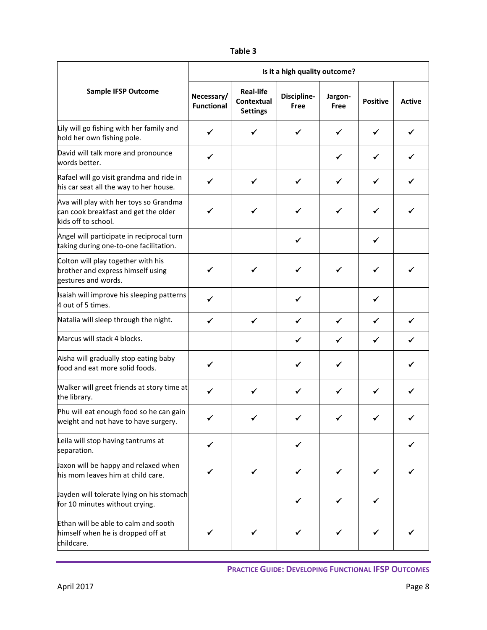| ۰.<br>×<br>. .<br>۰. | ۰,<br>× |
|----------------------|---------|
|----------------------|---------|

|                                                                                                       | Is it a high quality outcome?   |                                                   |                     |                 |                 |               |  |
|-------------------------------------------------------------------------------------------------------|---------------------------------|---------------------------------------------------|---------------------|-----------------|-----------------|---------------|--|
| <b>Sample IFSP Outcome</b>                                                                            | Necessary/<br><b>Functional</b> | <b>Real-life</b><br>Contextual<br><b>Settings</b> | Discipline-<br>Free | Jargon-<br>Free | <b>Positive</b> | <b>Active</b> |  |
| Lily will go fishing with her family and<br>hold her own fishing pole.                                | ✓                               | ✓                                                 | ✔                   | ✔               | ✓               | ✔             |  |
| David will talk more and pronounce<br>words better.                                                   | ✓                               |                                                   |                     | ✓               | ✓               |               |  |
| Rafael will go visit grandma and ride in<br>his car seat all the way to her house.                    | ✓                               | ✓                                                 | ✓                   | ✔               | ✓               | ✓             |  |
| Ava will play with her toys so Grandma<br>can cook breakfast and get the older<br>kids off to school. | ✓                               | ✓                                                 | ✓                   | ✓               | ✓               | ✔             |  |
| Angel will participate in reciprocal turn<br>taking during one-to-one facilitation.                   |                                 |                                                   | ✓                   |                 | ✓               |               |  |
| Colton will play together with his<br>brother and express himself using<br>gestures and words.        | ✓                               | ✓                                                 | ✓                   | ✔               | ✓               |               |  |
| Isaiah will improve his sleeping patterns<br>4 out of 5 times.                                        | ✔                               |                                                   | ✓                   |                 | ✓               |               |  |
| Natalia will sleep through the night.                                                                 | $\checkmark$                    | $\checkmark$                                      | $\checkmark$        | $\checkmark$    | $\checkmark$    | $\checkmark$  |  |
| Marcus will stack 4 blocks.                                                                           |                                 |                                                   | $\checkmark$        | $\checkmark$    | $\checkmark$    | ✓             |  |
| Aisha will gradually stop eating baby<br>food and eat more solid foods.                               | ✓                               |                                                   | ✔                   | ✓               |                 |               |  |
| Walker will greet friends at story time at<br>the library.                                            | $\checkmark$                    | ✓                                                 | $\checkmark$        | $\checkmark$    | $\checkmark$    | ✓             |  |
| Phu will eat enough food so he can gain<br>weight and not have to have surgery.                       | ✔                               |                                                   |                     |                 |                 |               |  |
| Leila will stop having tantrums at<br>separation.                                                     | ✓                               |                                                   | $\checkmark$        |                 |                 | ✓             |  |
| Jaxon will be happy and relaxed when<br>his mom leaves him at child care.                             | ✔                               | ✓                                                 | ✓                   | ✓               | ✓               |               |  |
| Jayden will tolerate lying on his stomach<br>for 10 minutes without crying.                           |                                 |                                                   | ✔                   | ✓               | ✓               |               |  |
| Ethan will be able to calm and sooth<br>himself when he is dropped off at<br>childcare.               | ✔                               |                                                   |                     | ✔               |                 |               |  |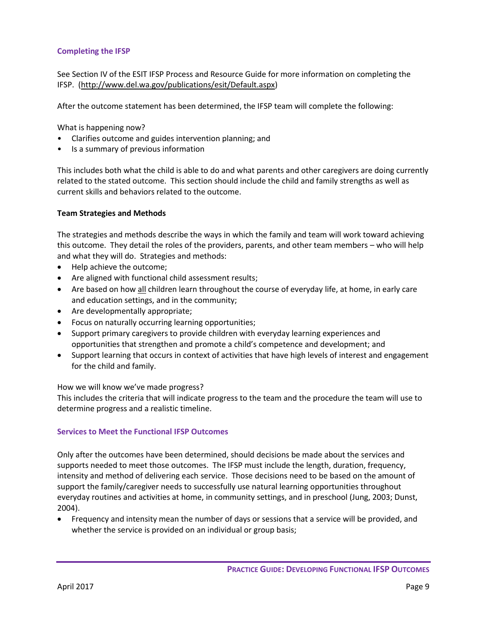# **Completing the IFSP**

See Section IV of the ESIT IFSP Process and Resource Guide for more information on completing the IFSP. [\(http://www.del.wa.gov/publications/esit/Default.aspx\)](http://www.del.wa.gov/publications/esit/Default.aspx)

After the outcome statement has been determined, the IFSP team will complete the following:

What is happening now?

- Clarifies outcome and guides intervention planning; and
- Is a summary of previous information

This includes both what the child is able to do and what parents and other caregivers are doing currently related to the stated outcome. This section should include the child and family strengths as well as current skills and behaviors related to the outcome.

# **Team Strategies and Methods**

The strategies and methods describe the ways in which the family and team will work toward achieving this outcome. They detail the roles of the providers, parents, and other team members – who will help and what they will do. Strategies and methods:

- Help achieve the outcome;
- Are aligned with functional child assessment results;
- Are based on how all children learn throughout the course of everyday life, at home, in early care and education settings, and in the community;
- Are developmentally appropriate;
- Focus on naturally occurring learning opportunities;
- Support primary caregivers to provide children with everyday learning experiences and opportunities that strengthen and promote a child's competence and development; and
- Support learning that occurs in context of activities that have high levels of interest and engagement for the child and family.

# How we will know we've made progress?

This includes the criteria that will indicate progress to the team and the procedure the team will use to determine progress and a realistic timeline.

# **Services to Meet the Functional IFSP Outcomes**

Only after the outcomes have been determined, should decisions be made about the services and supports needed to meet those outcomes. The IFSP must include the length, duration, frequency, intensity and method of delivering each service. Those decisions need to be based on the amount of support the family/caregiver needs to successfully use natural learning opportunities throughout everyday routines and activities at home, in community settings, and in preschool (Jung, 2003; Dunst, 2004).

 Frequency and intensity mean the number of days or sessions that a service will be provided, and whether the service is provided on an individual or group basis;